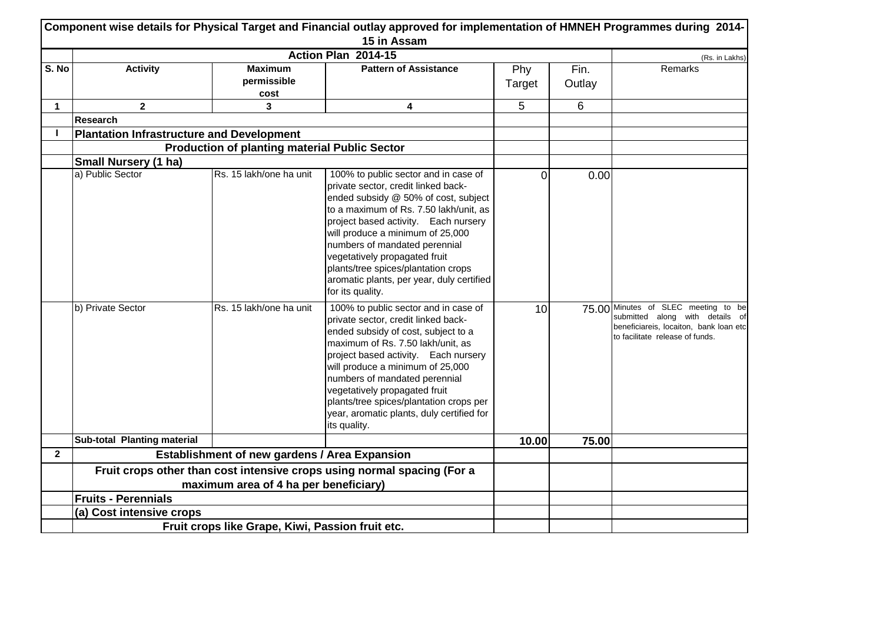|              | Component wise details for Physical Target and Financial outlay approved for implementation of HMNEH Programmes during 2014-<br>15 in Assam |                                                      |                                                                                                                                                                                                                                                                                                                                                                                                                     |               |                |                                                                                                                                                     |  |  |
|--------------|---------------------------------------------------------------------------------------------------------------------------------------------|------------------------------------------------------|---------------------------------------------------------------------------------------------------------------------------------------------------------------------------------------------------------------------------------------------------------------------------------------------------------------------------------------------------------------------------------------------------------------------|---------------|----------------|-----------------------------------------------------------------------------------------------------------------------------------------------------|--|--|
|              |                                                                                                                                             |                                                      | Action Plan 2014-15                                                                                                                                                                                                                                                                                                                                                                                                 |               |                | (Rs. in Lakhs)                                                                                                                                      |  |  |
| S. No        | <b>Activity</b>                                                                                                                             | <b>Maximum</b><br>permissible<br>cost                | <b>Pattern of Assistance</b>                                                                                                                                                                                                                                                                                                                                                                                        | Phy<br>Target | Fin.<br>Outlay | Remarks                                                                                                                                             |  |  |
| 1            | $\mathbf{2}$                                                                                                                                | 3                                                    | 4                                                                                                                                                                                                                                                                                                                                                                                                                   | 5             | 6              |                                                                                                                                                     |  |  |
|              | <b>Research</b>                                                                                                                             |                                                      |                                                                                                                                                                                                                                                                                                                                                                                                                     |               |                |                                                                                                                                                     |  |  |
| I.           | <b>Plantation Infrastructure and Development</b>                                                                                            |                                                      |                                                                                                                                                                                                                                                                                                                                                                                                                     |               |                |                                                                                                                                                     |  |  |
|              |                                                                                                                                             | <b>Production of planting material Public Sector</b> |                                                                                                                                                                                                                                                                                                                                                                                                                     |               |                |                                                                                                                                                     |  |  |
|              | Small Nursery (1 ha)                                                                                                                        |                                                      |                                                                                                                                                                                                                                                                                                                                                                                                                     |               |                |                                                                                                                                                     |  |  |
|              | a) Public Sector                                                                                                                            | Rs. 15 lakh/one ha unit                              | 100% to public sector and in case of<br>private sector, credit linked back-<br>ended subsidy @ 50% of cost, subject<br>to a maximum of Rs. 7.50 lakh/unit, as<br>project based activity. Each nursery<br>will produce a minimum of 25,000<br>numbers of mandated perennial<br>vegetatively propagated fruit<br>plants/tree spices/plantation crops<br>aromatic plants, per year, duly certified<br>for its quality. | 0             | 0.00           |                                                                                                                                                     |  |  |
|              | b) Private Sector                                                                                                                           | Rs. 15 lakh/one ha unit                              | 100% to public sector and in case of<br>private sector, credit linked back-<br>ended subsidy of cost, subject to a<br>maximum of Rs. 7.50 lakh/unit, as<br>project based activity. Each nursery<br>will produce a minimum of 25,000<br>numbers of mandated perennial<br>vegetatively propagated fruit<br>plants/tree spices/plantation crops per<br>year, aromatic plants, duly certified for<br>its quality.       | 10            |                | 75.00 Minutes of SLEC meeting to be<br>submitted along with details of<br>beneficiareis, locaiton, bank loan etc<br>to facilitate release of funds. |  |  |
|              | Sub-total Planting material                                                                                                                 |                                                      |                                                                                                                                                                                                                                                                                                                                                                                                                     | 10.00         | 75.00          |                                                                                                                                                     |  |  |
| $\mathbf{2}$ |                                                                                                                                             | Establishment of new gardens / Area Expansion        |                                                                                                                                                                                                                                                                                                                                                                                                                     |               |                |                                                                                                                                                     |  |  |
|              |                                                                                                                                             |                                                      | Fruit crops other than cost intensive crops using normal spacing (For a                                                                                                                                                                                                                                                                                                                                             |               |                |                                                                                                                                                     |  |  |
|              |                                                                                                                                             | maximum area of 4 ha per beneficiary)                |                                                                                                                                                                                                                                                                                                                                                                                                                     |               |                |                                                                                                                                                     |  |  |
|              | <b>Fruits - Perennials</b>                                                                                                                  |                                                      |                                                                                                                                                                                                                                                                                                                                                                                                                     |               |                |                                                                                                                                                     |  |  |
|              | (a) Cost intensive crops                                                                                                                    |                                                      |                                                                                                                                                                                                                                                                                                                                                                                                                     |               |                |                                                                                                                                                     |  |  |
|              |                                                                                                                                             | Fruit crops like Grape, Kiwi, Passion fruit etc.     |                                                                                                                                                                                                                                                                                                                                                                                                                     |               |                |                                                                                                                                                     |  |  |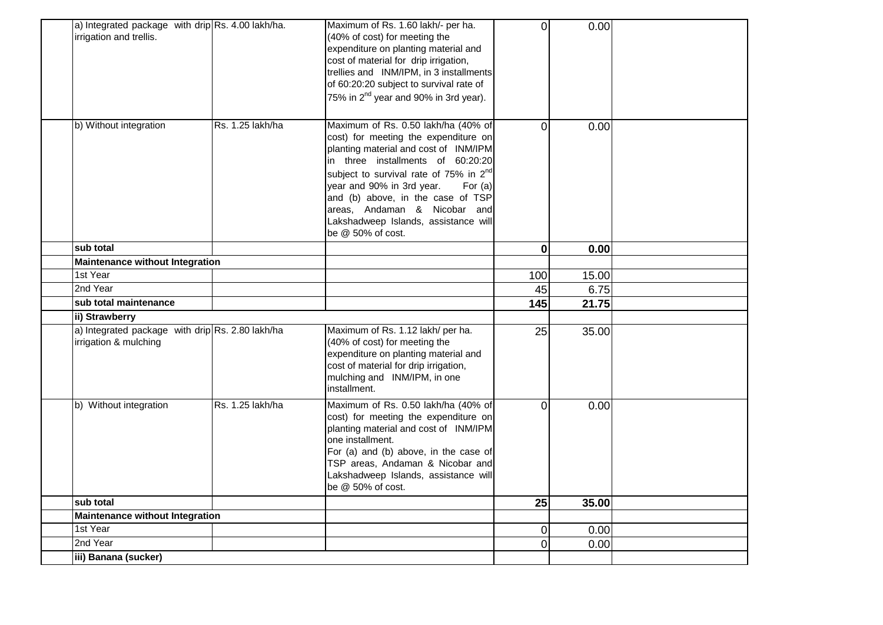| a) Integrated package with drip $\operatorname{Rs.}$ 4.00 lakh/ha.<br>irrigation and trellis. |                  | Maximum of Rs. 1.60 lakh/- per ha.<br>(40% of cost) for meeting the<br>expenditure on planting material and<br>cost of material for drip irrigation,<br>trellies and INM/IPM, in 3 installments<br>of 60:20:20 subject to survival rate of<br>75% in 2 <sup>nd</sup> year and 90% in 3rd year).                                                                                             | $\overline{0}$   | 0.00  |  |
|-----------------------------------------------------------------------------------------------|------------------|---------------------------------------------------------------------------------------------------------------------------------------------------------------------------------------------------------------------------------------------------------------------------------------------------------------------------------------------------------------------------------------------|------------------|-------|--|
| b) Without integration                                                                        | Rs. 1.25 lakh/ha | Maximum of Rs. 0.50 lakh/ha (40% of<br>cost) for meeting the expenditure on<br>planting material and cost of INM/IPM<br>in three installments of 60:20:20<br>subject to survival rate of 75% in 2 <sup>nd</sup><br>year and 90% in 3rd year.<br>For $(a)$<br>and (b) above, in the case of TSP<br>areas, Andaman & Nicobar and<br>Lakshadweep Islands, assistance will<br>be @ 50% of cost. | $\overline{0}$   | 0.00  |  |
| sub total                                                                                     |                  |                                                                                                                                                                                                                                                                                                                                                                                             | $\mathbf{0}$     | 0.00  |  |
| <b>Maintenance without Integration</b>                                                        |                  |                                                                                                                                                                                                                                                                                                                                                                                             |                  |       |  |
| 1st Year                                                                                      |                  |                                                                                                                                                                                                                                                                                                                                                                                             | 100              | 15.00 |  |
| 2nd Year                                                                                      |                  |                                                                                                                                                                                                                                                                                                                                                                                             | 45               | 6.75  |  |
| sub total maintenance                                                                         |                  |                                                                                                                                                                                                                                                                                                                                                                                             | $\overline{145}$ | 21.75 |  |
| ii) Strawberry                                                                                |                  |                                                                                                                                                                                                                                                                                                                                                                                             |                  |       |  |
| a) Integrated package with drip Rs. 2.80 lakh/ha<br>irrigation & mulching                     |                  | Maximum of Rs. 1.12 lakh/ per ha.<br>(40% of cost) for meeting the<br>expenditure on planting material and<br>cost of material for drip irrigation,<br>mulching and INM/IPM, in one<br>installment.                                                                                                                                                                                         | 25               | 35.00 |  |
| b) Without integration                                                                        | Rs. 1.25 lakh/ha | Maximum of Rs. 0.50 lakh/ha (40% of<br>cost) for meeting the expenditure on<br>planting material and cost of INM/IPM<br>one installment.<br>For (a) and (b) above, in the case of<br>TSP areas, Andaman & Nicobar and<br>Lakshadweep Islands, assistance will<br>be @ 50% of cost.                                                                                                          | $\overline{0}$   | 0.00  |  |
| sub total                                                                                     |                  |                                                                                                                                                                                                                                                                                                                                                                                             | 25               | 35.00 |  |
| <b>Maintenance without Integration</b>                                                        |                  |                                                                                                                                                                                                                                                                                                                                                                                             |                  |       |  |
| 1st Year                                                                                      |                  |                                                                                                                                                                                                                                                                                                                                                                                             | $\overline{0}$   | 0.00  |  |
| 2nd Year                                                                                      |                  |                                                                                                                                                                                                                                                                                                                                                                                             | $\overline{0}$   | 0.00  |  |
| iii) Banana (sucker)                                                                          |                  |                                                                                                                                                                                                                                                                                                                                                                                             |                  |       |  |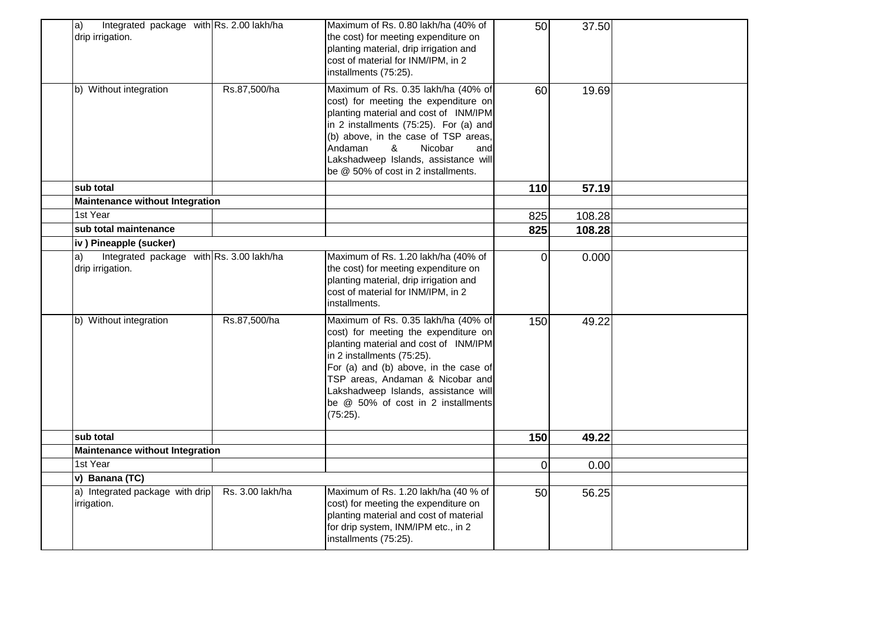| Integrated package with Rs. 2.00 lakh/ha<br>$ a\rangle$<br>drip irrigation. |                  | Maximum of Rs. 0.80 lakh/ha (40% of<br>the cost) for meeting expenditure on<br>planting material, drip irrigation and<br>cost of material for INM/IPM, in 2<br>installments (75:25).                                                                                                                                      | 50       | 37.50  |  |
|-----------------------------------------------------------------------------|------------------|---------------------------------------------------------------------------------------------------------------------------------------------------------------------------------------------------------------------------------------------------------------------------------------------------------------------------|----------|--------|--|
| b) Without integration                                                      | Rs.87,500/ha     | Maximum of Rs. 0.35 lakh/ha (40% of<br>cost) for meeting the expenditure on<br>planting material and cost of INM/IPM<br>in 2 installments (75:25). For (a) and<br>(b) above, in the case of TSP areas,<br>Nicobar<br>Andaman<br>&<br>and<br>Lakshadweep Islands, assistance will<br>be @ 50% of cost in 2 installments.   | 60       | 19.69  |  |
| sub total                                                                   |                  |                                                                                                                                                                                                                                                                                                                           | 110      | 57.19  |  |
| <b>Maintenance without Integration</b><br>1st Year                          |                  |                                                                                                                                                                                                                                                                                                                           |          |        |  |
|                                                                             |                  |                                                                                                                                                                                                                                                                                                                           | 825      | 108.28 |  |
| sub total maintenance                                                       |                  |                                                                                                                                                                                                                                                                                                                           | 825      | 108.28 |  |
| iv) Pineapple (sucker)                                                      |                  |                                                                                                                                                                                                                                                                                                                           |          |        |  |
| Integrated package with Rs. 3.00 lakh/ha<br>a)<br>drip irrigation.          |                  | Maximum of Rs. 1.20 lakh/ha (40% of<br>the cost) for meeting expenditure on<br>planting material, drip irrigation and<br>cost of material for INM/IPM, in 2<br>installments.                                                                                                                                              | $\Omega$ | 0.000  |  |
| b) Without integration                                                      | Rs.87,500/ha     | Maximum of Rs. 0.35 lakh/ha (40% of<br>cost) for meeting the expenditure on<br>planting material and cost of INM/IPM<br>in 2 installments (75:25).<br>For (a) and (b) above, in the case of<br>TSP areas, Andaman & Nicobar and<br>Lakshadweep Islands, assistance will<br>be @ 50% of cost in 2 installments<br>(75:25). | 150      | 49.22  |  |
| sub total                                                                   |                  |                                                                                                                                                                                                                                                                                                                           | 150      | 49.22  |  |
| <b>Maintenance without Integration</b>                                      |                  |                                                                                                                                                                                                                                                                                                                           |          |        |  |
| 1st Year                                                                    |                  |                                                                                                                                                                                                                                                                                                                           | $\Omega$ | 0.00   |  |
| v) Banana (TC)                                                              |                  |                                                                                                                                                                                                                                                                                                                           |          |        |  |
| a) Integrated package with drip<br>irrigation.                              | Rs. 3.00 lakh/ha | Maximum of Rs. 1.20 lakh/ha (40 % of<br>cost) for meeting the expenditure on<br>planting material and cost of material<br>for drip system, INM/IPM etc., in 2<br>installments (75:25).                                                                                                                                    | 50       | 56.25  |  |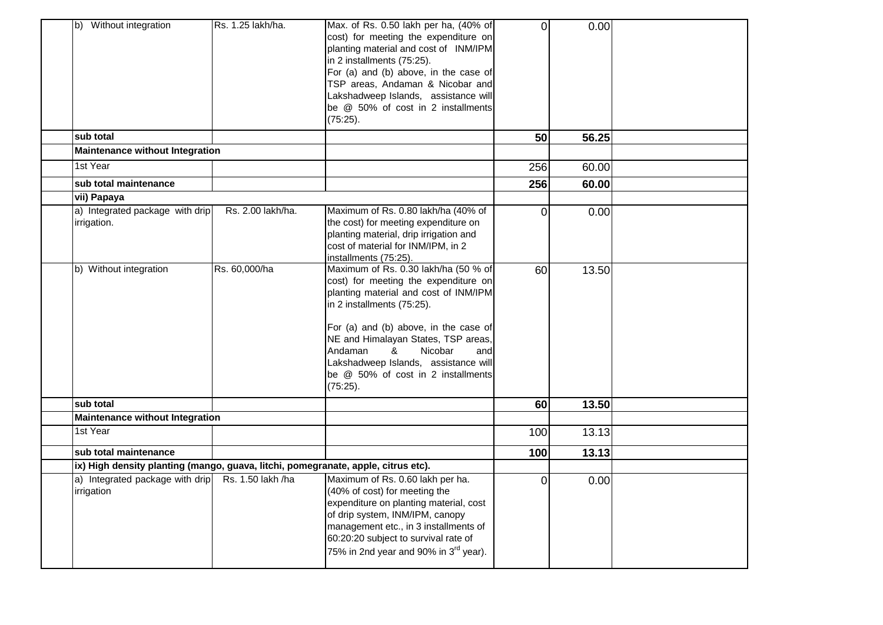| b) Without integration                                                            | Rs. 1.25 lakh/ha. | Max. of Rs. 0.50 lakh per ha, (40% of<br>cost) for meeting the expenditure on<br>planting material and cost of INM/IPM<br>in 2 installments (75:25).<br>For (a) and (b) above, in the case of<br>TSP areas, Andaman & Nicobar and<br>Lakshadweep Islands, assistance will<br>be @ 50% of cost in 2 installments<br>(75:25).                                     | $\overline{0}$ | 0.00  |  |
|-----------------------------------------------------------------------------------|-------------------|-----------------------------------------------------------------------------------------------------------------------------------------------------------------------------------------------------------------------------------------------------------------------------------------------------------------------------------------------------------------|----------------|-------|--|
| sub total                                                                         |                   |                                                                                                                                                                                                                                                                                                                                                                 | 50             | 56.25 |  |
| Maintenance without Integration                                                   |                   |                                                                                                                                                                                                                                                                                                                                                                 |                |       |  |
| 1st Year                                                                          |                   |                                                                                                                                                                                                                                                                                                                                                                 | 256            | 60.00 |  |
| sub total maintenance                                                             |                   |                                                                                                                                                                                                                                                                                                                                                                 | 256            | 60.00 |  |
| vii) Papaya                                                                       |                   |                                                                                                                                                                                                                                                                                                                                                                 |                |       |  |
| a) Integrated package with drip<br>irrigation.                                    | Rs. 2.00 lakh/ha. | Maximum of Rs. 0.80 lakh/ha (40% of<br>the cost) for meeting expenditure on<br>planting material, drip irrigation and<br>cost of material for INM/IPM, in 2<br>installments (75:25).                                                                                                                                                                            | 0              | 0.00  |  |
| b) Without integration                                                            | Rs. 60,000/ha     | Maximum of Rs. 0.30 lakh/ha (50 % of<br>cost) for meeting the expenditure on<br>planting material and cost of INM/IPM<br>in 2 installments (75:25).<br>For (a) and (b) above, in the case of<br>NE and Himalayan States, TSP areas,<br>Andaman<br>Nicobar<br>&<br>and<br>Lakshadweep Islands, assistance will<br>be @ 50% of cost in 2 installments<br>(75:25). | 60             | 13.50 |  |
| sub total                                                                         |                   |                                                                                                                                                                                                                                                                                                                                                                 | 60             | 13.50 |  |
| <b>Maintenance without Integration</b>                                            |                   |                                                                                                                                                                                                                                                                                                                                                                 |                |       |  |
| 1st Year                                                                          |                   |                                                                                                                                                                                                                                                                                                                                                                 | 100            | 13.13 |  |
| sub total maintenance                                                             |                   |                                                                                                                                                                                                                                                                                                                                                                 | 100            | 13.13 |  |
| ix) High density planting (mango, guava, litchi, pomegranate, apple, citrus etc). |                   |                                                                                                                                                                                                                                                                                                                                                                 |                |       |  |
| a) Integrated package with drip<br>irrigation                                     | Rs. 1.50 lakh /ha | Maximum of Rs. 0.60 lakh per ha.<br>(40% of cost) for meeting the<br>expenditure on planting material, cost<br>of drip system, INM/IPM, canopy<br>management etc., in 3 installments of<br>60:20:20 subject to survival rate of<br>75% in 2nd year and 90% in 3 <sup>rd</sup> year).                                                                            | 0              | 0.00  |  |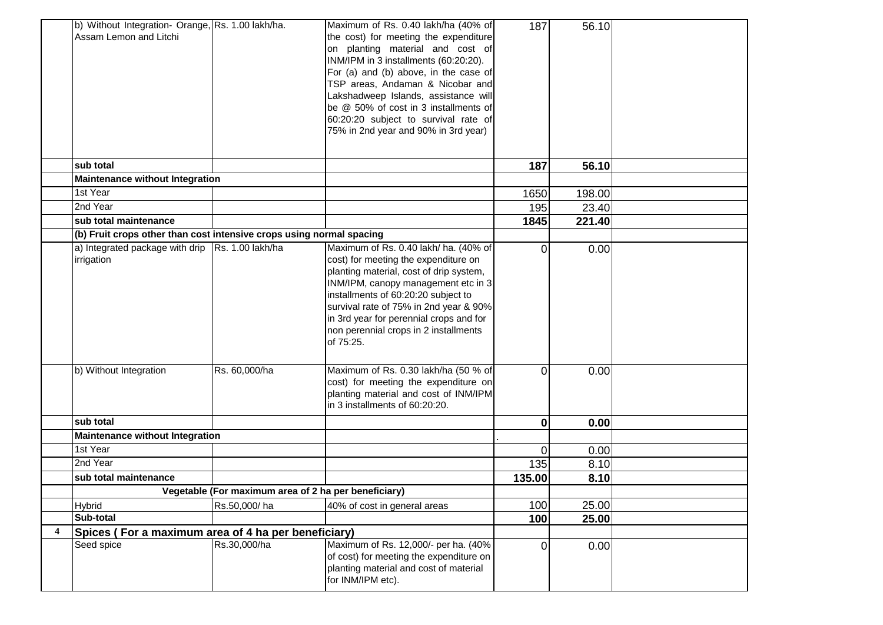|                  | b) Without Integration- Orange, Rs. 1.00 lakh/ha.<br>Assam Lemon and Litchi |                                                      | Maximum of Rs. 0.40 lakh/ha (40% of<br>the cost) for meeting the expenditure<br>on planting material and cost of<br>INM/IPM in 3 installments (60:20:20).<br>For (a) and (b) above, in the case of<br>TSP areas, Andaman & Nicobar and<br>Lakshadweep Islands, assistance will<br>be @ 50% of cost in 3 installments of<br>60:20:20 subject to survival rate of<br>75% in 2nd year and 90% in 3rd year) | 187            | 56.10  |  |
|------------------|-----------------------------------------------------------------------------|------------------------------------------------------|---------------------------------------------------------------------------------------------------------------------------------------------------------------------------------------------------------------------------------------------------------------------------------------------------------------------------------------------------------------------------------------------------------|----------------|--------|--|
|                  | sub total                                                                   |                                                      |                                                                                                                                                                                                                                                                                                                                                                                                         | 187            | 56.10  |  |
|                  | <b>Maintenance without Integration</b>                                      |                                                      |                                                                                                                                                                                                                                                                                                                                                                                                         |                |        |  |
|                  | 1st Year                                                                    |                                                      |                                                                                                                                                                                                                                                                                                                                                                                                         | 1650           | 198.00 |  |
|                  | 2nd Year                                                                    |                                                      |                                                                                                                                                                                                                                                                                                                                                                                                         | 195            | 23.40  |  |
|                  | sub total maintenance                                                       |                                                      |                                                                                                                                                                                                                                                                                                                                                                                                         | 1845           | 221.40 |  |
|                  | (b) Fruit crops other than cost intensive crops using normal spacing        |                                                      |                                                                                                                                                                                                                                                                                                                                                                                                         |                |        |  |
|                  | a) Integrated package with drip $\vert$ Rs. 1.00 lakh/ha<br>irrigation      |                                                      | Maximum of Rs. 0.40 lakh/ ha. (40% of<br>cost) for meeting the expenditure on<br>planting material, cost of drip system,<br>INM/IPM, canopy management etc in 3<br>installments of 60:20:20 subject to<br>survival rate of 75% in 2nd year & 90%<br>in 3rd year for perennial crops and for<br>non perennial crops in 2 installments<br>of 75:25.                                                       | 0              | 0.00   |  |
|                  | b) Without Integration                                                      | Rs. 60,000/ha                                        | Maximum of Rs. 0.30 lakh/ha (50 % of<br>cost) for meeting the expenditure on<br>planting material and cost of INM/IPM<br>in 3 installments of 60:20:20.                                                                                                                                                                                                                                                 | 0              | 0.00   |  |
|                  | sub total                                                                   |                                                      |                                                                                                                                                                                                                                                                                                                                                                                                         | $\mathbf 0$    | 0.00   |  |
|                  | <b>Maintenance without Integration</b>                                      |                                                      |                                                                                                                                                                                                                                                                                                                                                                                                         |                |        |  |
|                  | 1st Year                                                                    |                                                      |                                                                                                                                                                                                                                                                                                                                                                                                         | 0              | 0.00   |  |
|                  | 2nd Year                                                                    |                                                      |                                                                                                                                                                                                                                                                                                                                                                                                         | 135            | 8.10   |  |
|                  | sub total maintenance                                                       |                                                      |                                                                                                                                                                                                                                                                                                                                                                                                         | 135.00         | 8.10   |  |
|                  |                                                                             | Vegetable (For maximum area of 2 ha per beneficiary) |                                                                                                                                                                                                                                                                                                                                                                                                         |                |        |  |
|                  | <b>Hybrid</b>                                                               | Rs.50,000/ha                                         | 40% of cost in general areas                                                                                                                                                                                                                                                                                                                                                                            | 100            | 25.00  |  |
|                  | Sub-total                                                                   |                                                      |                                                                                                                                                                                                                                                                                                                                                                                                         | 100            | 25.00  |  |
| $\boldsymbol{4}$ | Spices (For a maximum area of 4 ha per beneficiary)                         |                                                      |                                                                                                                                                                                                                                                                                                                                                                                                         |                |        |  |
|                  | Seed spice                                                                  | Rs.30,000/ha                                         | Maximum of Rs. 12,000/- per ha. (40%<br>of cost) for meeting the expenditure on<br>planting material and cost of material<br>for INM/IPM etc).                                                                                                                                                                                                                                                          | $\overline{0}$ | 0.00   |  |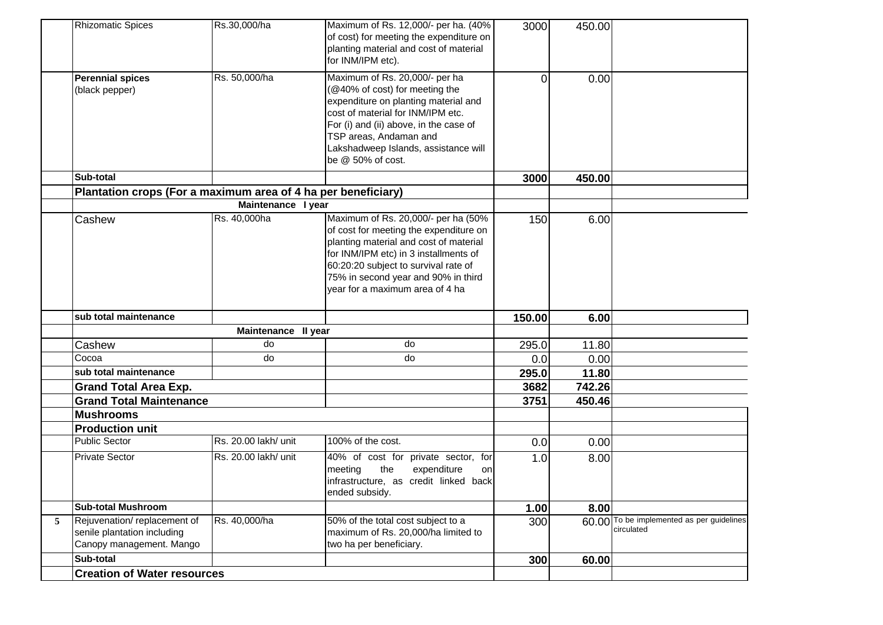|   | <b>Rhizomatic Spices</b>                                                               | Rs.30,000/ha         | Maximum of Rs. 12,000/- per ha. (40%<br>of cost) for meeting the expenditure on<br>planting material and cost of material<br>for INM/IPM etc).                                                                                                                                     | 3000   | 450.00 |                                                         |
|---|----------------------------------------------------------------------------------------|----------------------|------------------------------------------------------------------------------------------------------------------------------------------------------------------------------------------------------------------------------------------------------------------------------------|--------|--------|---------------------------------------------------------|
|   | <b>Perennial spices</b><br>(black pepper)                                              | Rs. 50,000/ha        | Maximum of Rs. 20,000/- per ha<br>(@40% of cost) for meeting the<br>expenditure on planting material and<br>cost of material for INM/IPM etc.<br>For (i) and (ii) above, in the case of<br>TSP areas, Andaman and<br>Lakshadweep Islands, assistance will<br>be $@$ 50% of cost.   | 0      | 0.00   |                                                         |
|   | Sub-total                                                                              |                      |                                                                                                                                                                                                                                                                                    | 3000   | 450.00 |                                                         |
|   | Plantation crops (For a maximum area of 4 ha per beneficiary)                          |                      |                                                                                                                                                                                                                                                                                    |        |        |                                                         |
|   |                                                                                        | Maintenance I year   |                                                                                                                                                                                                                                                                                    |        |        |                                                         |
|   | Cashew                                                                                 | Rs. 40,000ha         | Maximum of Rs. 20,000/- per ha (50%<br>of cost for meeting the expenditure on<br>planting material and cost of material<br>for INM/IPM etc) in 3 installments of<br>60:20:20 subject to survival rate of<br>75% in second year and 90% in third<br>year for a maximum area of 4 ha | 150    | 6.00   |                                                         |
|   | sub total maintenance                                                                  |                      |                                                                                                                                                                                                                                                                                    | 150.00 | 6.00   |                                                         |
|   |                                                                                        | Maintenance II year  |                                                                                                                                                                                                                                                                                    |        |        |                                                         |
|   | Cashew                                                                                 | do                   | do                                                                                                                                                                                                                                                                                 | 295.0  | 11.80  |                                                         |
|   | Cocoa                                                                                  | do                   | do                                                                                                                                                                                                                                                                                 | 0.0    | 0.00   |                                                         |
|   | sub total maintenance                                                                  |                      |                                                                                                                                                                                                                                                                                    | 295.0  | 11.80  |                                                         |
|   | <b>Grand Total Area Exp.</b>                                                           |                      |                                                                                                                                                                                                                                                                                    | 3682   | 742.26 |                                                         |
|   | <b>Grand Total Maintenance</b>                                                         |                      |                                                                                                                                                                                                                                                                                    | 3751   | 450.46 |                                                         |
|   | <b>Mushrooms</b>                                                                       |                      |                                                                                                                                                                                                                                                                                    |        |        |                                                         |
|   | <b>Production unit</b>                                                                 |                      |                                                                                                                                                                                                                                                                                    |        |        |                                                         |
|   | <b>Public Sector</b>                                                                   | Rs. 20.00 lakh/ unit | 100% of the cost.                                                                                                                                                                                                                                                                  | 0.0    | 0.00   |                                                         |
|   | <b>Private Sector</b>                                                                  | Rs. 20.00 lakh/ unit | 40% of cost for private sector, for<br>meeting<br>the<br>expenditure<br>on<br>infrastructure, as credit linked back<br>ended subsidy.                                                                                                                                              | 1.0    | 8.00   |                                                         |
|   | <b>Sub-total Mushroom</b>                                                              |                      |                                                                                                                                                                                                                                                                                    | 1.00   | 8.00   |                                                         |
| 5 | Rejuvenation/replacement of<br>senile plantation including<br>Canopy management. Mango | Rs. 40,000/ha        | 50% of the total cost subject to a<br>maximum of Rs. 20,000/ha limited to<br>two ha per beneficiary.                                                                                                                                                                               | 300    |        | 60.00 To be implemented as per guidelines<br>circulated |
|   | Sub-total                                                                              |                      |                                                                                                                                                                                                                                                                                    | 300    | 60.00  |                                                         |
|   | <b>Creation of Water resources</b>                                                     |                      |                                                                                                                                                                                                                                                                                    |        |        |                                                         |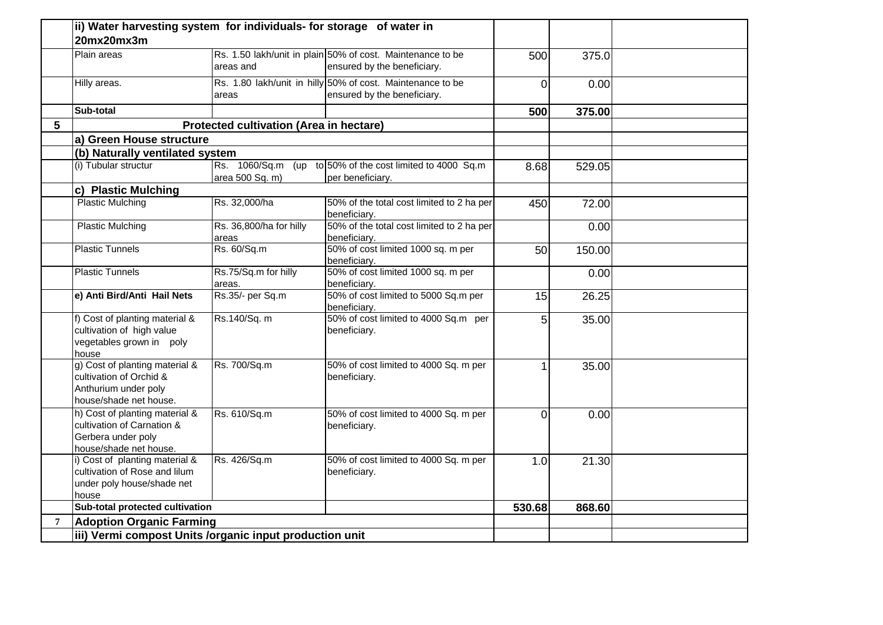| Plain areas<br>Rs. 1.50 lakh/unit in plain 50% of cost. Maintenance to be<br>areas and<br>Rs. 1.80 lakh/unit in hilly 50% of cost. Maintenance to be<br>Hilly areas.<br>areas<br>Sub-total<br><b>Protected cultivation (Area in hectare)</b><br>a) Green House structure<br>(b) Naturally ventilated system<br>(i) Tubular structur<br>Rs. 1060/Sq.m (up to 50% of the cost limited to 4000 Sq.m<br>area 500 Sq. m)<br>per beneficiary.<br>c) Plastic Mulching<br><b>Plastic Mulching</b><br>Rs. 32,000/ha<br>beneficiary.<br><b>Plastic Mulching</b><br>Rs. 36,800/ha for hilly<br>beneficiary.<br>areas<br><b>Plastic Tunnels</b><br>Rs. 60/Sq.m<br>beneficiary.<br><b>Plastic Tunnels</b><br>Rs.75/Sq.m for hilly<br>beneficiary.<br>areas.<br>Rs.35/- per Sq.m<br>e) Anti Bird/Anti Hail Nets<br>beneficiary.<br>f) Cost of planting material &<br>Rs.140/Sq. m<br>cultivation of high value<br>beneficiary.<br>vegetables grown in poly<br>house<br>g) Cost of planting material &<br>Rs. 700/Sq.m<br>cultivation of Orchid &<br>beneficiary.<br>Anthurium under poly<br>house/shade net house.<br>h) Cost of planting material &<br>Rs. 610/Sq.m | ensured by the beneficiary.<br>ensured by the beneficiary.<br>50% of the total cost limited to 2 ha per<br>50% of the total cost limited to 2 ha per<br>50% of cost limited 1000 sq. m per<br>50% of cost limited 1000 sq. m per<br>50% of cost limited to 5000 Sq.m per<br>50% of cost limited to 4000 Sq.m per<br>50% of cost limited to 4000 Sq. m per | 500<br>$\overline{0}$<br>500<br>8.68<br>450<br>50<br>15<br>5<br>$\mathbf{1}$ | 375.0<br>0.00<br>375.00<br>529.05<br>72.00<br>0.00<br>150.00<br>0.00<br>26.25<br>35.00 |  |
|--------------------------------------------------------------------------------------------------------------------------------------------------------------------------------------------------------------------------------------------------------------------------------------------------------------------------------------------------------------------------------------------------------------------------------------------------------------------------------------------------------------------------------------------------------------------------------------------------------------------------------------------------------------------------------------------------------------------------------------------------------------------------------------------------------------------------------------------------------------------------------------------------------------------------------------------------------------------------------------------------------------------------------------------------------------------------------------------------------------------------------------------------------|-----------------------------------------------------------------------------------------------------------------------------------------------------------------------------------------------------------------------------------------------------------------------------------------------------------------------------------------------------------|------------------------------------------------------------------------------|----------------------------------------------------------------------------------------|--|
|                                                                                                                                                                                                                                                                                                                                                                                                                                                                                                                                                                                                                                                                                                                                                                                                                                                                                                                                                                                                                                                                                                                                                        |                                                                                                                                                                                                                                                                                                                                                           |                                                                              |                                                                                        |  |
| $5\overline{)}$                                                                                                                                                                                                                                                                                                                                                                                                                                                                                                                                                                                                                                                                                                                                                                                                                                                                                                                                                                                                                                                                                                                                        |                                                                                                                                                                                                                                                                                                                                                           |                                                                              |                                                                                        |  |
|                                                                                                                                                                                                                                                                                                                                                                                                                                                                                                                                                                                                                                                                                                                                                                                                                                                                                                                                                                                                                                                                                                                                                        |                                                                                                                                                                                                                                                                                                                                                           |                                                                              |                                                                                        |  |
|                                                                                                                                                                                                                                                                                                                                                                                                                                                                                                                                                                                                                                                                                                                                                                                                                                                                                                                                                                                                                                                                                                                                                        |                                                                                                                                                                                                                                                                                                                                                           |                                                                              |                                                                                        |  |
|                                                                                                                                                                                                                                                                                                                                                                                                                                                                                                                                                                                                                                                                                                                                                                                                                                                                                                                                                                                                                                                                                                                                                        |                                                                                                                                                                                                                                                                                                                                                           |                                                                              |                                                                                        |  |
|                                                                                                                                                                                                                                                                                                                                                                                                                                                                                                                                                                                                                                                                                                                                                                                                                                                                                                                                                                                                                                                                                                                                                        |                                                                                                                                                                                                                                                                                                                                                           |                                                                              |                                                                                        |  |
|                                                                                                                                                                                                                                                                                                                                                                                                                                                                                                                                                                                                                                                                                                                                                                                                                                                                                                                                                                                                                                                                                                                                                        |                                                                                                                                                                                                                                                                                                                                                           |                                                                              |                                                                                        |  |
|                                                                                                                                                                                                                                                                                                                                                                                                                                                                                                                                                                                                                                                                                                                                                                                                                                                                                                                                                                                                                                                                                                                                                        |                                                                                                                                                                                                                                                                                                                                                           |                                                                              |                                                                                        |  |
|                                                                                                                                                                                                                                                                                                                                                                                                                                                                                                                                                                                                                                                                                                                                                                                                                                                                                                                                                                                                                                                                                                                                                        |                                                                                                                                                                                                                                                                                                                                                           |                                                                              |                                                                                        |  |
|                                                                                                                                                                                                                                                                                                                                                                                                                                                                                                                                                                                                                                                                                                                                                                                                                                                                                                                                                                                                                                                                                                                                                        |                                                                                                                                                                                                                                                                                                                                                           |                                                                              |                                                                                        |  |
|                                                                                                                                                                                                                                                                                                                                                                                                                                                                                                                                                                                                                                                                                                                                                                                                                                                                                                                                                                                                                                                                                                                                                        |                                                                                                                                                                                                                                                                                                                                                           |                                                                              |                                                                                        |  |
|                                                                                                                                                                                                                                                                                                                                                                                                                                                                                                                                                                                                                                                                                                                                                                                                                                                                                                                                                                                                                                                                                                                                                        |                                                                                                                                                                                                                                                                                                                                                           |                                                                              |                                                                                        |  |
|                                                                                                                                                                                                                                                                                                                                                                                                                                                                                                                                                                                                                                                                                                                                                                                                                                                                                                                                                                                                                                                                                                                                                        |                                                                                                                                                                                                                                                                                                                                                           |                                                                              |                                                                                        |  |
|                                                                                                                                                                                                                                                                                                                                                                                                                                                                                                                                                                                                                                                                                                                                                                                                                                                                                                                                                                                                                                                                                                                                                        |                                                                                                                                                                                                                                                                                                                                                           |                                                                              |                                                                                        |  |
|                                                                                                                                                                                                                                                                                                                                                                                                                                                                                                                                                                                                                                                                                                                                                                                                                                                                                                                                                                                                                                                                                                                                                        |                                                                                                                                                                                                                                                                                                                                                           |                                                                              | 35.00                                                                                  |  |
| cultivation of Carnation &<br>beneficiary.<br>Gerbera under poly<br>house/shade net house.                                                                                                                                                                                                                                                                                                                                                                                                                                                                                                                                                                                                                                                                                                                                                                                                                                                                                                                                                                                                                                                             | 50% of cost limited to 4000 Sq. m per                                                                                                                                                                                                                                                                                                                     | $\overline{0}$                                                               | 0.00                                                                                   |  |
| i) Cost of planting material &<br>Rs. 426/Sq.m<br>cultivation of Rose and lilum<br>beneficiary.<br>under poly house/shade net<br>house                                                                                                                                                                                                                                                                                                                                                                                                                                                                                                                                                                                                                                                                                                                                                                                                                                                                                                                                                                                                                 | 50% of cost limited to 4000 Sq. m per                                                                                                                                                                                                                                                                                                                     | 1.0                                                                          | 21.30                                                                                  |  |
| Sub-total protected cultivation                                                                                                                                                                                                                                                                                                                                                                                                                                                                                                                                                                                                                                                                                                                                                                                                                                                                                                                                                                                                                                                                                                                        |                                                                                                                                                                                                                                                                                                                                                           | 530.68                                                                       | 868.60                                                                                 |  |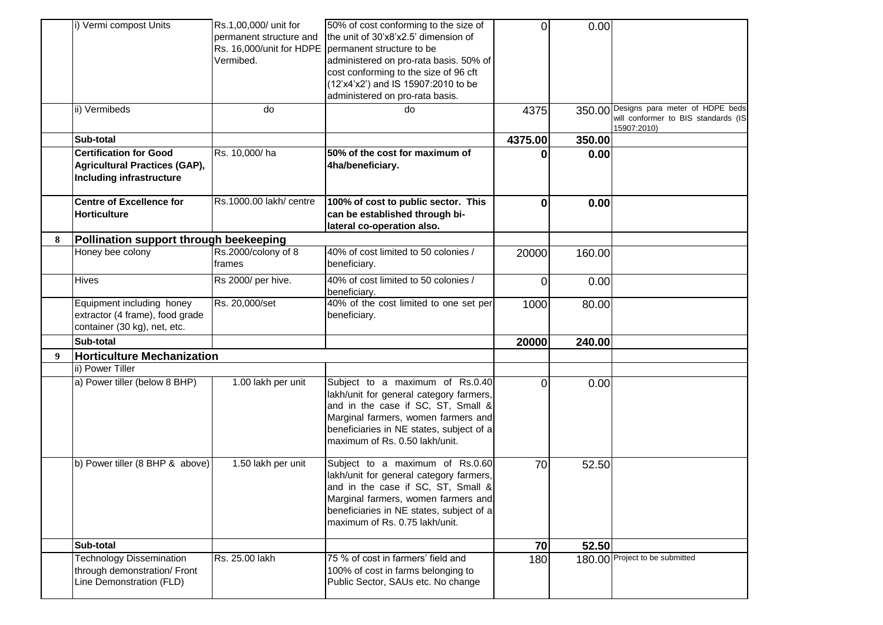|              | i) Vermi compost Units                                                                                   | Rs.1.00.000/ unit for<br>permanent structure and<br>Rs. 16,000/unit for HDPE<br>Vermibed. | 50% of cost conforming to the size of<br>the unit of 30'x8'x2.5' dimension of<br>permanent structure to be<br>administered on pro-rata basis. 50% of<br>cost conforming to the size of 96 cft<br>(12'x4'x2') and IS 15907:2010 to be  | ΩI      | 0.00   |                                                                                              |
|--------------|----------------------------------------------------------------------------------------------------------|-------------------------------------------------------------------------------------------|---------------------------------------------------------------------------------------------------------------------------------------------------------------------------------------------------------------------------------------|---------|--------|----------------------------------------------------------------------------------------------|
|              |                                                                                                          |                                                                                           | administered on pro-rata basis.                                                                                                                                                                                                       |         |        |                                                                                              |
|              | ii) Vermibeds                                                                                            | do                                                                                        | do                                                                                                                                                                                                                                    | 4375    |        | 350.00 Designs para meter of HDPE beds<br>will conformer to BIS standards (IS<br>15907:2010) |
|              | Sub-total                                                                                                |                                                                                           |                                                                                                                                                                                                                                       | 4375.00 | 350.00 |                                                                                              |
|              | <b>Certification for Good</b><br><b>Agricultural Practices (GAP),</b><br><b>Including infrastructure</b> | Rs. 10,000/ha                                                                             | 50% of the cost for maximum of<br>4ha/beneficiary.                                                                                                                                                                                    | 0       | 0.00   |                                                                                              |
|              | <b>Centre of Excellence for</b><br><b>Horticulture</b>                                                   | Rs.1000.00 lakh/ centre                                                                   | 100% of cost to public sector. This<br>can be established through bi-<br>lateral co-operation also.                                                                                                                                   | 0       | 0.00   |                                                                                              |
| 8            | Pollination support through beekeeping                                                                   |                                                                                           |                                                                                                                                                                                                                                       |         |        |                                                                                              |
|              | Honey bee colony                                                                                         | Rs.2000/colony of 8<br>frames                                                             | 40% of cost limited to 50 colonies /<br>beneficiary.                                                                                                                                                                                  | 20000   | 160.00 |                                                                                              |
|              | Hives                                                                                                    | Rs 2000/ per hive.                                                                        | 40% of cost limited to 50 colonies /<br>beneficiary.                                                                                                                                                                                  | ΩI      | 0.00   |                                                                                              |
|              | Equipment including honey<br>extractor (4 frame), food grade<br>container (30 kg), net, etc.             | Rs. 20,000/set                                                                            | 40% of the cost limited to one set per<br>beneficiary.                                                                                                                                                                                | 1000    | 80.00  |                                                                                              |
|              | Sub-total                                                                                                |                                                                                           |                                                                                                                                                                                                                                       | 20000   | 240.00 |                                                                                              |
| $\mathbf{Q}$ | <b>Horticulture Mechanization</b>                                                                        |                                                                                           |                                                                                                                                                                                                                                       |         |        |                                                                                              |
|              | ii) Power Tiller                                                                                         |                                                                                           |                                                                                                                                                                                                                                       |         |        |                                                                                              |
|              | a) Power tiller (below 8 BHP)                                                                            | 1.00 lakh per unit                                                                        | Subject to a maximum of Rs.0.40<br>lakh/unit for general category farmers,<br>and in the case if SC, ST, Small &<br>Marginal farmers, women farmers and<br>beneficiaries in NE states, subject of a<br>maximum of Rs. 0.50 lakh/unit. | ΩI      | 0.00   |                                                                                              |
|              | b) Power tiller (8 BHP & above)                                                                          | 1.50 lakh per unit                                                                        | Subject to a maximum of Rs.0.60<br>lakh/unit for general category farmers,<br>and in the case if SC. ST. Small &<br>Marginal farmers, women farmers and<br>beneficiaries in NE states, subject of a<br>maximum of Rs. 0.75 lakh/unit. | 70      | 52.50  |                                                                                              |
|              | Sub-total                                                                                                |                                                                                           |                                                                                                                                                                                                                                       | 70      | 52.50  |                                                                                              |
|              | <b>Technology Dissemination</b><br>through demonstration/ Front<br>Line Demonstration (FLD)              | Rs. 25.00 lakh                                                                            | 75 % of cost in farmers' field and<br>100% of cost in farms belonging to<br>Public Sector, SAUs etc. No change                                                                                                                        | 180     |        | 180.00 Project to be submitted                                                               |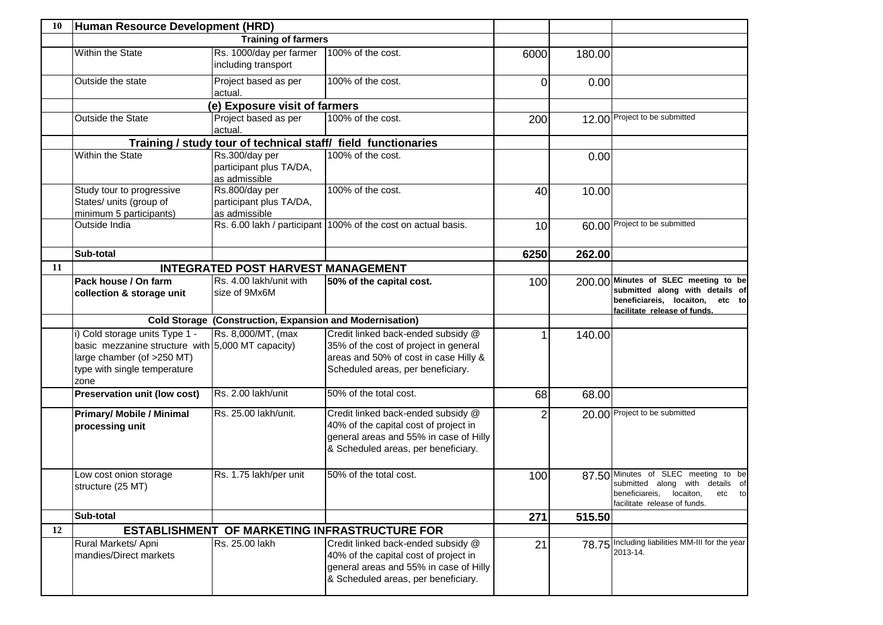| 10 | Human Resource Development (HRD)                                                                                                                          |                                                                 |                                                                                                                                                              |      |        |                                                                                                                                              |
|----|-----------------------------------------------------------------------------------------------------------------------------------------------------------|-----------------------------------------------------------------|--------------------------------------------------------------------------------------------------------------------------------------------------------------|------|--------|----------------------------------------------------------------------------------------------------------------------------------------------|
|    |                                                                                                                                                           | <b>Training of farmers</b>                                      |                                                                                                                                                              |      |        |                                                                                                                                              |
|    | Within the State                                                                                                                                          | Rs. 1000/day per farmer<br>including transport                  | 100% of the cost.                                                                                                                                            | 6000 | 180.00 |                                                                                                                                              |
|    | Outside the state                                                                                                                                         | Project based as per<br>actual.                                 | 100% of the cost.                                                                                                                                            | 0    | 0.00   |                                                                                                                                              |
|    |                                                                                                                                                           | (e) Exposure visit of farmers                                   |                                                                                                                                                              |      |        |                                                                                                                                              |
|    | Outside the State                                                                                                                                         | Project based as per<br>actual.                                 | 100% of the cost.                                                                                                                                            | 200  |        | 12.00 Project to be submitted                                                                                                                |
|    |                                                                                                                                                           |                                                                 | Training / study tour of technical staff/ field functionaries                                                                                                |      |        |                                                                                                                                              |
|    | Within the State                                                                                                                                          | Rs.300/day per<br>participant plus TA/DA,<br>as admissible      | 100% of the cost.                                                                                                                                            |      | 0.00   |                                                                                                                                              |
|    | Study tour to progressive<br>States/ units (group of<br>minimum 5 participants)                                                                           | Rs.800/day per<br>participant plus TA/DA,<br>as admissible      | 100% of the cost.                                                                                                                                            | 40   | 10.00  |                                                                                                                                              |
|    | Outside India                                                                                                                                             |                                                                 | Rs. 6.00 lakh / participant 100% of the cost on actual basis.                                                                                                | 10   |        | 60.00 Project to be submitted                                                                                                                |
|    | Sub-total                                                                                                                                                 |                                                                 |                                                                                                                                                              | 6250 | 262.00 |                                                                                                                                              |
| 11 |                                                                                                                                                           | <b>INTEGRATED POST HARVEST MANAGEMENT</b>                       |                                                                                                                                                              |      |        |                                                                                                                                              |
|    | Pack house / On farm<br>collection & storage unit                                                                                                         | Rs. 4.00 lakh/unit with<br>size of 9Mx6M                        | 50% of the capital cost.                                                                                                                                     | 100  |        | 200.00 Minutes of SLEC meeting to be<br>submitted along with details of<br>beneficiareis, locaiton, etc to<br>facilitate release of funds.   |
|    |                                                                                                                                                           | <b>Cold Storage (Construction, Expansion and Modernisation)</b> |                                                                                                                                                              |      |        |                                                                                                                                              |
|    | i) Cold storage units Type 1 -<br>basic mezzanine structure with 5,000 MT capacity)<br>large chamber (of >250 MT)<br>type with single temperature<br>zone | Rs. 8,000/MT, (max                                              | Credit linked back-ended subsidy @<br>35% of the cost of project in general<br>areas and 50% of cost in case Hilly &<br>Scheduled areas, per beneficiary.    |      | 140.00 |                                                                                                                                              |
|    | <b>Preservation unit (low cost)</b>                                                                                                                       | Rs. 2.00 lakh/unit                                              | 50% of the total cost.                                                                                                                                       | 68   | 68.00  |                                                                                                                                              |
|    | <b>Primary/ Mobile / Minimal</b><br>processing unit                                                                                                       | Rs. 25.00 lakh/unit.                                            | Credit linked back-ended subsidy @<br>40% of the capital cost of project in<br>general areas and 55% in case of Hilly<br>& Scheduled areas, per beneficiary. | 2    |        | 20.00 Project to be submitted                                                                                                                |
|    | Low cost onion storage<br>structure (25 MT)                                                                                                               | Rs. 1.75 lakh/per unit                                          | 50% of the total cost.                                                                                                                                       | 100  |        | 87.50 Minutes of SLEC meeting to be<br>submitted along with details of<br>beneficiareis, locaiton,<br>etc to<br>facilitate release of funds. |
|    | Sub-total                                                                                                                                                 |                                                                 |                                                                                                                                                              | 271  | 515.50 |                                                                                                                                              |
| 12 |                                                                                                                                                           |                                                                 | <b>ESTABLISHMENT OF MARKETING INFRASTRUCTURE FOR</b>                                                                                                         |      |        |                                                                                                                                              |
|    | Rural Markets/ Apni<br>mandies/Direct markets                                                                                                             | Rs. 25.00 lakh                                                  | Credit linked back-ended subsidy @<br>40% of the capital cost of project in<br>general areas and 55% in case of Hilly<br>& Scheduled areas, per beneficiary. | 21   |        | 78.75 Including liabilities MM-III for the year<br>2013-14.                                                                                  |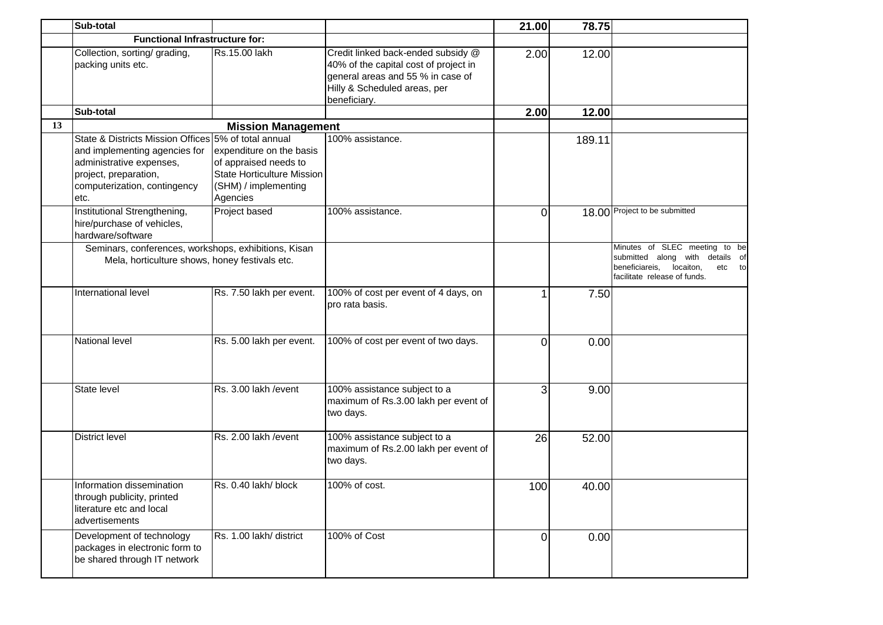|    | Sub-total                                                                                                                                                                          |                                                                                                                            |                                                                                                                                                                  | 21.00    | 78.75  |                                                                                                                                        |
|----|------------------------------------------------------------------------------------------------------------------------------------------------------------------------------------|----------------------------------------------------------------------------------------------------------------------------|------------------------------------------------------------------------------------------------------------------------------------------------------------------|----------|--------|----------------------------------------------------------------------------------------------------------------------------------------|
|    | <b>Functional Infrastructure for:</b>                                                                                                                                              |                                                                                                                            |                                                                                                                                                                  |          |        |                                                                                                                                        |
|    | Collection, sorting/ grading,<br>packing units etc.                                                                                                                                | Rs.15.00 lakh                                                                                                              | Credit linked back-ended subsidy @<br>40% of the capital cost of project in<br>general areas and 55 % in case of<br>Hilly & Scheduled areas, per<br>beneficiary. | 2.00     | 12.00  |                                                                                                                                        |
|    | Sub-total                                                                                                                                                                          |                                                                                                                            |                                                                                                                                                                  | 2.00     | 12.00  |                                                                                                                                        |
| 13 |                                                                                                                                                                                    | <b>Mission Management</b>                                                                                                  |                                                                                                                                                                  |          |        |                                                                                                                                        |
|    | State & Districts Mission Offices 5% of total annual<br>and implementing agencies for<br>administrative expenses,<br>project, preparation,<br>computerization, contingency<br>etc. | expenditure on the basis<br>of appraised needs to<br><b>State Horticulture Mission</b><br>(SHM) / implementing<br>Agencies | 100% assistance.                                                                                                                                                 |          | 189.11 |                                                                                                                                        |
|    | Institutional Strengthening,<br>hire/purchase of vehicles,<br>hardware/software                                                                                                    | Project based                                                                                                              | 100% assistance.                                                                                                                                                 | 0        |        | 18.00 Project to be submitted                                                                                                          |
|    | Seminars, conferences, workshops, exhibitions, Kisan<br>Mela, horticulture shows, honey festivals etc.                                                                             |                                                                                                                            |                                                                                                                                                                  |          |        | Minutes of SLEC meeting to be<br>submitted along with details of<br>beneficiareis, locaiton,<br>etc to<br>facilitate release of funds. |
|    | International level                                                                                                                                                                | Rs. 7.50 lakh per event.                                                                                                   | 100% of cost per event of 4 days, on<br>pro rata basis.                                                                                                          | 1        | 7.50   |                                                                                                                                        |
|    | National level                                                                                                                                                                     | Rs. 5.00 lakh per event.                                                                                                   | 100% of cost per event of two days.                                                                                                                              | $\Omega$ | 0.00   |                                                                                                                                        |
|    | State level                                                                                                                                                                        | Rs. 3.00 lakh / event                                                                                                      | 100% assistance subject to a<br>maximum of Rs.3.00 lakh per event of<br>two days.                                                                                | 3        | 9.00   |                                                                                                                                        |
|    | <b>District level</b>                                                                                                                                                              | Rs. 2.00 lakh / event                                                                                                      | 100% assistance subject to a<br>maximum of Rs.2.00 lakh per event of<br>two days.                                                                                | 26       | 52.00  |                                                                                                                                        |
|    | Information dissemination<br>through publicity, printed<br>literature etc and local<br>advertisements                                                                              | Rs. 0.40 lakh/block                                                                                                        | 100% of cost.                                                                                                                                                    | 100      | 40.00  |                                                                                                                                        |
|    | Development of technology<br>packages in electronic form to<br>be shared through IT network                                                                                        | Rs. 1.00 lakh/ district                                                                                                    | 100% of Cost                                                                                                                                                     | ΩI       | 0.00   |                                                                                                                                        |